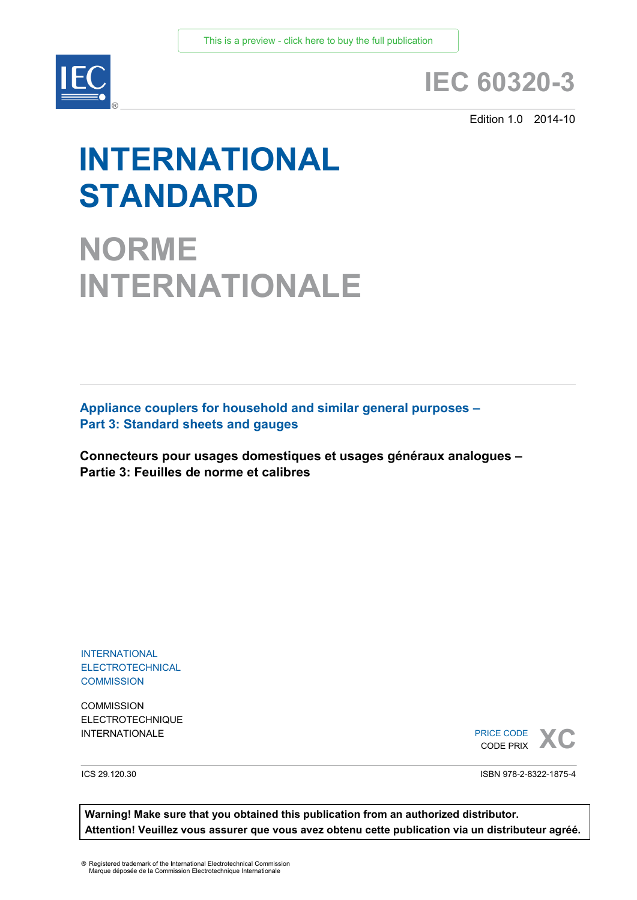

# **IEC 60320-3**

Edition 1.0 2014-10

# **INTERNATIONAL STANDARD**

**NORME INTERNATIONALE**

**Appliance couplers for household and similar general purposes – Part 3: Standard sheets and gauges**

**Connecteurs pour usages domestiques et usages généraux analogues – Partie 3: Feuilles de norme et calibres**

INTERNATIONAL **ELECTROTECHNICAL COMMISSION** 

**COMMISSION** ELECTROTECHNIQUE



ICS 29.120.30

ISBN 978-2-8322-1875-4

**Warning! Make sure that you obtained this publication from an authorized distributor. Attention! Veuillez vous assurer que vous avez obtenu cette publication via un distributeur agréé.**

® Registered trademark of the International Electrotechnical Commission Marque déposée de la Commission Electrotechnique Internationale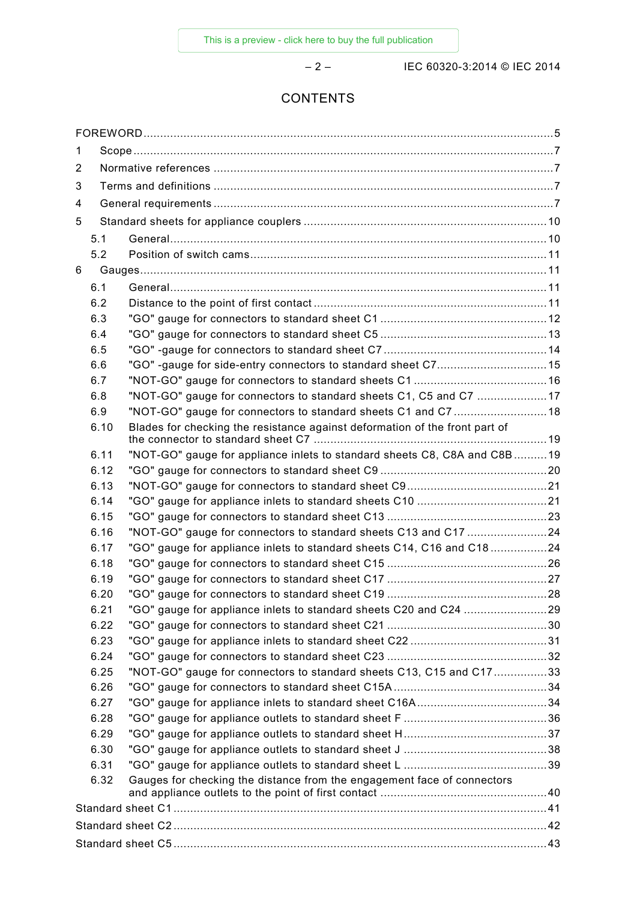– 2 – IEC 60320-3:2014 © IEC 2014

# **CONTENTS**

| 1 |              |                                                                             |  |  |
|---|--------------|-----------------------------------------------------------------------------|--|--|
| 2 |              |                                                                             |  |  |
| 3 |              |                                                                             |  |  |
| 4 |              |                                                                             |  |  |
| 5 |              |                                                                             |  |  |
|   | 5.1          |                                                                             |  |  |
|   | 5.2          |                                                                             |  |  |
| 6 |              |                                                                             |  |  |
|   | 6.1          |                                                                             |  |  |
|   | 6.2          |                                                                             |  |  |
|   | 6.3          |                                                                             |  |  |
|   | 6.4          |                                                                             |  |  |
|   | 6.5          |                                                                             |  |  |
|   | 6.6          | "GO" -gauge for side-entry connectors to standard sheet C7 15               |  |  |
|   | 6.7          |                                                                             |  |  |
|   | 6.8          | "NOT-GO" gauge for connectors to standard sheets C1, C5 and C7 17           |  |  |
|   | 6.9          | "NOT-GO" gauge for connectors to standard sheets C1 and C7 18               |  |  |
|   | 6.10         | Blades for checking the resistance against deformation of the front part of |  |  |
|   | 6.11         | "NOT-GO" gauge for appliance inlets to standard sheets C8, C8A and C8B 19   |  |  |
|   | 6.12         |                                                                             |  |  |
|   | 6.13         |                                                                             |  |  |
|   | 6.14         |                                                                             |  |  |
|   | 6.15         |                                                                             |  |  |
|   | 6.16         | "NOT-GO" gauge for connectors to standard sheets C13 and C17 24             |  |  |
|   | 6.17         | "GO" gauge for appliance inlets to standard sheets C14, C16 and C18 24      |  |  |
|   | 6.18         |                                                                             |  |  |
|   | 6.19         |                                                                             |  |  |
|   | 6.20         |                                                                             |  |  |
|   | 6.21         | "GO" gauge for appliance inlets to standard sheets C20 and C24 29           |  |  |
|   | 6.22         |                                                                             |  |  |
|   | 6.23         |                                                                             |  |  |
|   | 6.24<br>6.25 | "NOT-GO" gauge for connectors to standard sheets C13, C15 and C1733         |  |  |
|   | 6.26         |                                                                             |  |  |
|   | 6.27         |                                                                             |  |  |
|   | 6.28         |                                                                             |  |  |
|   | 6.29         |                                                                             |  |  |
|   | 6.30         |                                                                             |  |  |
|   | 6.31         |                                                                             |  |  |
|   | 6.32         | Gauges for checking the distance from the engagement face of connectors     |  |  |
|   |              |                                                                             |  |  |
|   |              |                                                                             |  |  |
|   |              |                                                                             |  |  |
|   |              |                                                                             |  |  |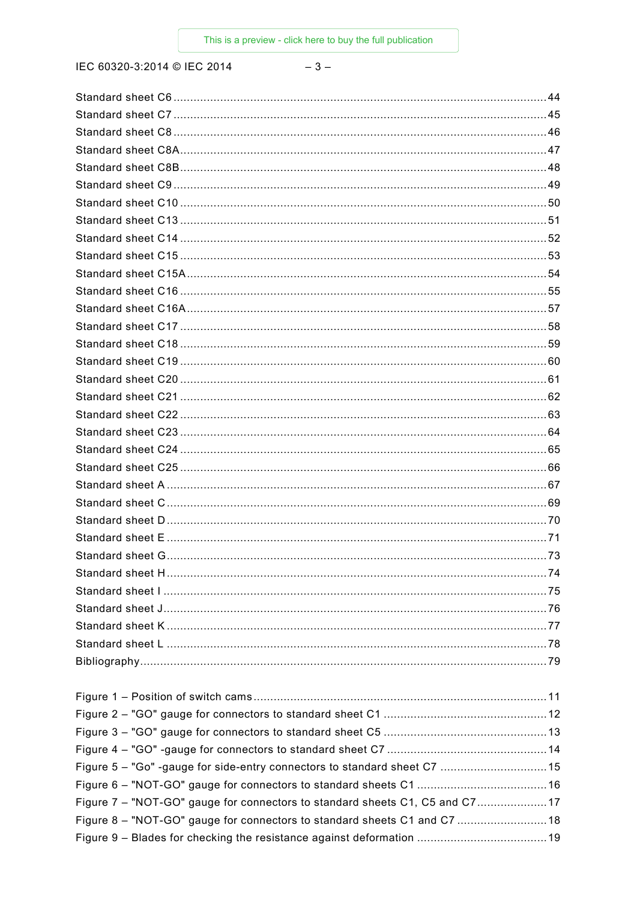IEC 60320-3:2014 © IEC 2014

# $-3-$

| 84 modern displays the UC6 manuscript of the UCA and a Control of the UCA and and Sheet C6 minimum and the UCA |  |
|----------------------------------------------------------------------------------------------------------------|--|
|                                                                                                                |  |
|                                                                                                                |  |
|                                                                                                                |  |
|                                                                                                                |  |
|                                                                                                                |  |
|                                                                                                                |  |
|                                                                                                                |  |
|                                                                                                                |  |
|                                                                                                                |  |
|                                                                                                                |  |
|                                                                                                                |  |
|                                                                                                                |  |
|                                                                                                                |  |
|                                                                                                                |  |
|                                                                                                                |  |
|                                                                                                                |  |
|                                                                                                                |  |
|                                                                                                                |  |
|                                                                                                                |  |
|                                                                                                                |  |
|                                                                                                                |  |
|                                                                                                                |  |
|                                                                                                                |  |
|                                                                                                                |  |
|                                                                                                                |  |
|                                                                                                                |  |
|                                                                                                                |  |
|                                                                                                                |  |
|                                                                                                                |  |
|                                                                                                                |  |
|                                                                                                                |  |
|                                                                                                                |  |
|                                                                                                                |  |
|                                                                                                                |  |
|                                                                                                                |  |
|                                                                                                                |  |
| Figure 5 - "Go" -gauge for side-entry connectors to standard sheet C7  15                                      |  |
|                                                                                                                |  |
| Figure 7 - "NOT-GO" gauge for connectors to standard sheets C1, C5 and C717                                    |  |
| Figure 8 - "NOT-GO" gauge for connectors to standard sheets C1 and C7 18                                       |  |
|                                                                                                                |  |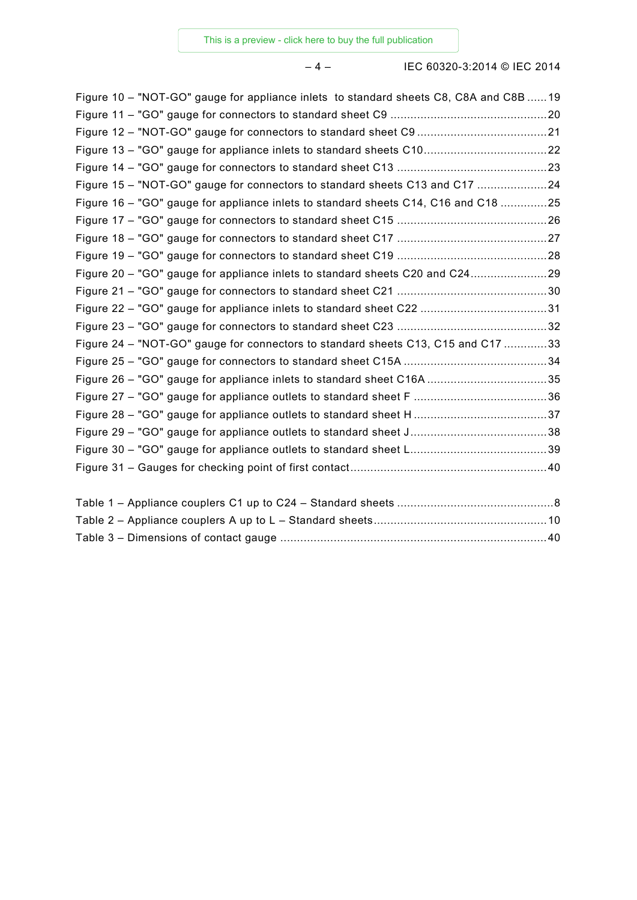– 4 – IEC 60320-3:2014 © IEC 2014

| Figure 10 - "NOT-GO" gauge for appliance inlets to standard sheets C8, C8A and C8B  19 |  |
|----------------------------------------------------------------------------------------|--|
|                                                                                        |  |
|                                                                                        |  |
|                                                                                        |  |
|                                                                                        |  |
| Figure 15 - "NOT-GO" gauge for connectors to standard sheets C13 and C17 24            |  |
| Figure 16 - "GO" gauge for appliance inlets to standard sheets C14, C16 and C18 25     |  |
|                                                                                        |  |
|                                                                                        |  |
|                                                                                        |  |
| Figure 20 - "GO" gauge for appliance inlets to standard sheets C20 and C2429           |  |
|                                                                                        |  |
|                                                                                        |  |
|                                                                                        |  |
| Figure 24 - "NOT-GO" gauge for connectors to standard sheets C13, C15 and C17 33       |  |
|                                                                                        |  |
| Figure 26 - "GO" gauge for appliance inlets to standard sheet C16A 35                  |  |
|                                                                                        |  |
|                                                                                        |  |
|                                                                                        |  |
|                                                                                        |  |
|                                                                                        |  |
|                                                                                        |  |
|                                                                                        |  |
|                                                                                        |  |
|                                                                                        |  |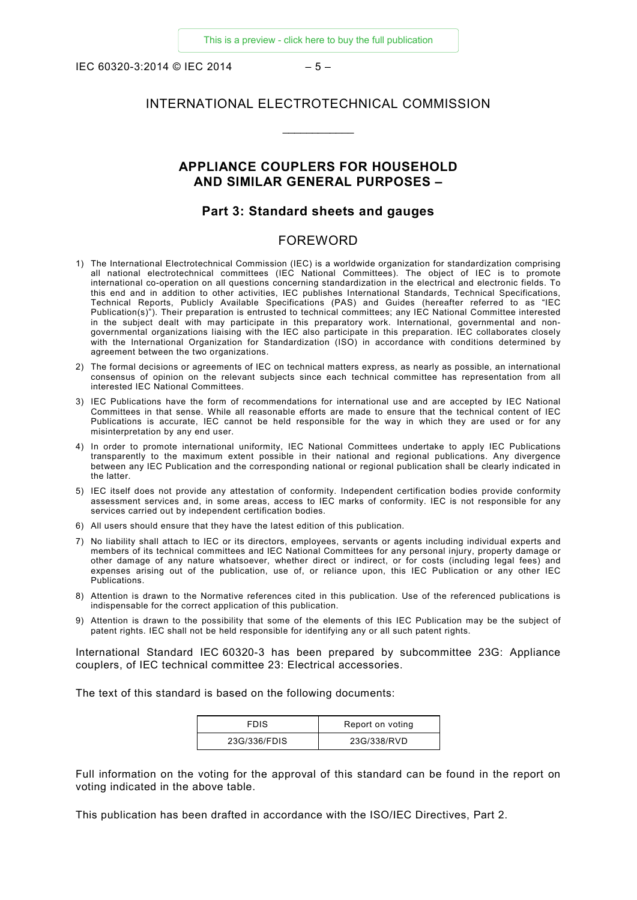IEC 60320-3:2014 © IEC 2014 – 5 –

# INTERNATIONAL ELECTROTECHNICAL COMMISSION

 $\overline{\phantom{a}}$ 

# **APPLIANCE COUPLERS FOR HOUSEHOLD AND SIMILAR GENERAL PURPOSES –**

# **Part 3: Standard sheets and gauges**

### FOREWORD

- <span id="page-4-0"></span>1) The International Electrotechnical Commission (IEC) is a worldwide organization for standardization comprising all national electrotechnical committees (IEC National Committees). The object of IEC is to promote international co-operation on all questions concerning standardization in the electrical and electronic fields. To this end and in addition to other activities, IEC publishes International Standards, Technical Specifications, Technical Reports, Publicly Available Specifications (PAS) and Guides (hereafter referred to as "IEC Publication(s)"). Their preparation is entrusted to technical committees; any IEC National Committee interested in the subject dealt with may participate in this preparatory work. International, governmental and nongovernmental organizations liaising with the IEC also participate in this preparation. IEC collaborates closely with the International Organization for Standardization (ISO) in accordance with conditions determined by agreement between the two organizations.
- 2) The formal decisions or agreements of IEC on technical matters express, as nearly as possible, an international consensus of opinion on the relevant subjects since each technical committee has representation from all interested IEC National Committees.
- 3) IEC Publications have the form of recommendations for international use and are accepted by IEC National Committees in that sense. While all reasonable efforts are made to ensure that the technical content of IEC Publications is accurate, IEC cannot be held responsible for the way in which they are used or for any misinterpretation by any end user.
- 4) In order to promote international uniformity, IEC National Committees undertake to apply IEC Publications transparently to the maximum extent possible in their national and regional publications. Any divergence between any IEC Publication and the corresponding national or regional publication shall be clearly indicated in the latter.
- 5) IEC itself does not provide any attestation of conformity. Independent certification bodies provide conformity assessment services and, in some areas, access to IEC marks of conformity. IEC is not responsible for any services carried out by independent certification bodies.
- 6) All users should ensure that they have the latest edition of this publication.
- 7) No liability shall attach to IEC or its directors, employees, servants or agents including individual experts and members of its technical committees and IEC National Committees for any personal injury, property damage or other damage of any nature whatsoever, whether direct or indirect, or for costs (including legal fees) and expenses arising out of the publication, use of, or reliance upon, this IEC Publication or any other IEC Publications.
- 8) Attention is drawn to the Normative references cited in this publication. Use of the referenced publications is indispensable for the correct application of this publication.
- 9) Attention is drawn to the possibility that some of the elements of this IEC Publication may be the subject of patent rights. IEC shall not be held responsible for identifying any or all such patent rights.

International Standard IEC 60320-3 has been prepared by subcommittee 23G: Appliance couplers, of IEC technical committee 23: Electrical accessories.

The text of this standard is based on the following documents:

| FDIS         | Report on voting |
|--------------|------------------|
| 23G/336/FDIS | 23G/338/RVD      |

Full information on the voting for the approval of this standard can be found in the report on voting indicated in the above table.

This publication has been drafted in accordance with the ISO/IEC Directives, Part 2.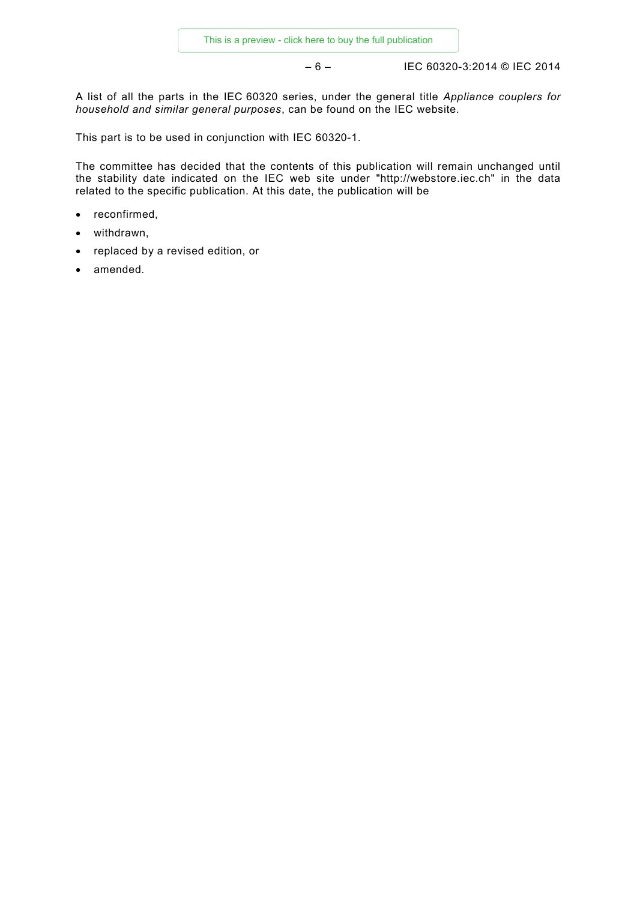– 6 – IEC 60320-3:2014 © IEC 2014

A list of all the parts in the IEC 60320 series, under the general title *Appliance couplers for household and similar general purposes*, can be found on the IEC website.

This part is to be used in conjunction with IEC 60320-1.

The committee has decided that the contents of this publication will remain unchanged until the stability date indicated on the IEC web site under "http://webstore.iec.ch" in the data related to the specific publication. At this date, the publication will be

- reconfirmed,
- withdrawn,
- replaced by a revised edition, or
- amended.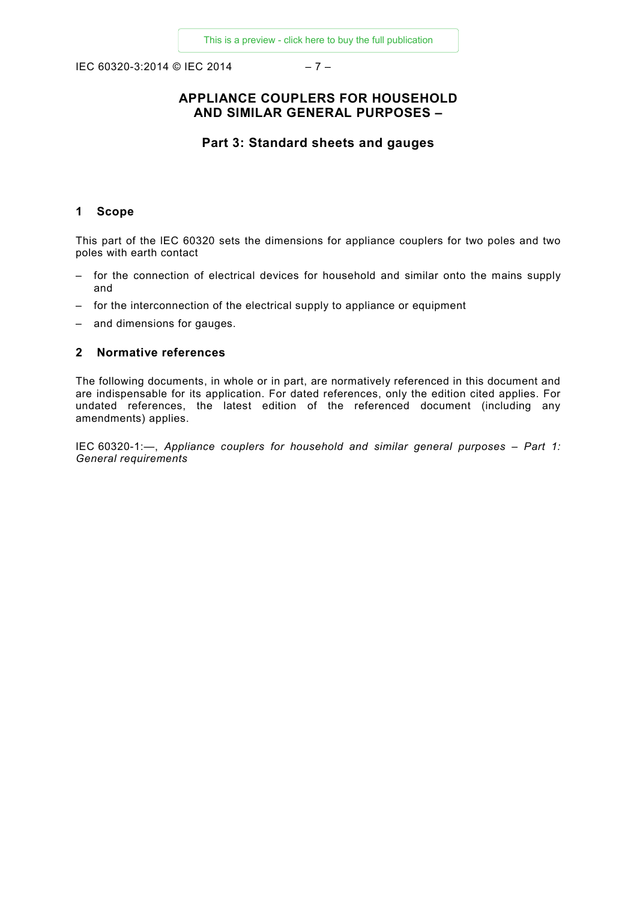IEC 60320-3:2014 © IEC 2014 – 7 –

# **APPLIANCE COUPLERS FOR HOUSEHOLD AND SIMILAR GENERAL PURPOSES –**

# **Part 3: Standard sheets and gauges**

#### <span id="page-6-0"></span>**1 Scope**

This part of the lEC 60320 sets the dimensions for appliance couplers for two poles and two poles with earth contact

- for the connection of electrical devices for household and similar onto the mains supply and
- for the interconnection of the electrical supply to appliance or equipment
- and dimensions for gauges.

### <span id="page-6-1"></span>**2 Normative references**

The following documents, in whole or in part, are normatively referenced in this document and are indispensable for its application. For dated references, only the edition cited applies. For undated references, the latest edition of the referenced document (including any amendments) applies.

<span id="page-6-3"></span><span id="page-6-2"></span>IEC 60320-1:—, *Appliance couplers for household and similar general purposes – Part 1: General requirements*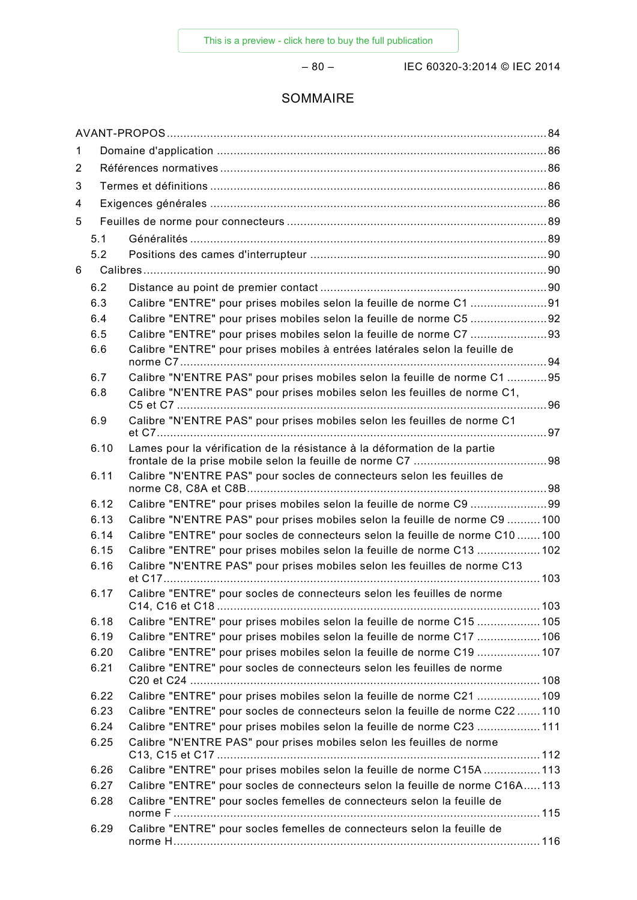– 80 – IEC 60320-3:2014 © IEC 2014

# SOMMAIRE

| 1              |      |                                                                              |  |  |
|----------------|------|------------------------------------------------------------------------------|--|--|
| $\overline{2}$ |      |                                                                              |  |  |
| 3              |      |                                                                              |  |  |
| 4              |      |                                                                              |  |  |
| 5              |      |                                                                              |  |  |
|                | 5.1  |                                                                              |  |  |
|                | 5.2  |                                                                              |  |  |
| 6              |      |                                                                              |  |  |
|                | 6.2  |                                                                              |  |  |
|                | 6.3  | Calibre "ENTRE" pour prises mobiles selon la feuille de norme C1 91          |  |  |
|                | 6.4  | Calibre "ENTRE" pour prises mobiles selon la feuille de norme C5 92          |  |  |
|                | 6.5  |                                                                              |  |  |
|                | 6.6  | Calibre "ENTRE" pour prises mobiles à entrées latérales selon la feuille de  |  |  |
|                | 6.7  | Calibre "N'ENTRE PAS" pour prises mobiles selon la feuille de norme C1 95    |  |  |
|                | 6.8  | Calibre "N'ENTRE PAS" pour prises mobiles selon les feuilles de norme C1,    |  |  |
|                | 6.9  | Calibre "N'ENTRE PAS" pour prises mobiles selon les feuilles de norme C1     |  |  |
|                | 6.10 | Lames pour la vérification de la résistance à la déformation de la partie    |  |  |
|                | 6.11 | Calibre "N'ENTRE PAS" pour socles de connecteurs selon les feuilles de       |  |  |
|                | 6.12 | Calibre "ENTRE" pour prises mobiles selon la feuille de norme C9 99          |  |  |
|                | 6.13 | Calibre "N'ENTRE PAS" pour prises mobiles selon la feuille de norme C9 100   |  |  |
|                | 6.14 | Calibre "ENTRE" pour socles de connecteurs selon la feuille de norme C10100  |  |  |
|                | 6.15 | Calibre "ENTRE" pour prises mobiles selon la feuille de norme C13 102        |  |  |
|                | 6.16 | Calibre "N'ENTRE PAS" pour prises mobiles selon les feuilles de norme C13    |  |  |
|                | 6.17 | Calibre "ENTRE" pour socles de connecteurs selon les feuilles de norme       |  |  |
|                | 6.18 | Calibre "ENTRE" pour prises mobiles selon la feuille de norme C15 105        |  |  |
|                | 6.19 | Calibre "ENTRE" pour prises mobiles selon la feuille de norme C17  106       |  |  |
|                | 6.20 | Calibre "ENTRE" pour prises mobiles selon la feuille de norme C19 107        |  |  |
|                | 6.21 | Calibre "ENTRE" pour socles de connecteurs selon les feuilles de norme       |  |  |
|                | 6.22 | Calibre "ENTRE" pour prises mobiles selon la feuille de norme C21  109       |  |  |
|                | 6.23 | Calibre "ENTRE" pour socles de connecteurs selon la feuille de norme C22110  |  |  |
|                | 6.24 | Calibre "ENTRE" pour prises mobiles selon la feuille de norme C23  111       |  |  |
|                | 6.25 | Calibre "N'ENTRE PAS" pour prises mobiles selon les feuilles de norme        |  |  |
|                | 6.26 | Calibre "ENTRE" pour prises mobiles selon la feuille de norme C15A 113       |  |  |
|                | 6.27 | Calibre "ENTRE" pour socles de connecteurs selon la feuille de norme C16A113 |  |  |
|                | 6.28 | Calibre "ENTRE" pour socles femelles de connecteurs selon la feuille de      |  |  |
|                | 6.29 | Calibre "ENTRE" pour socles femelles de connecteurs selon la feuille de      |  |  |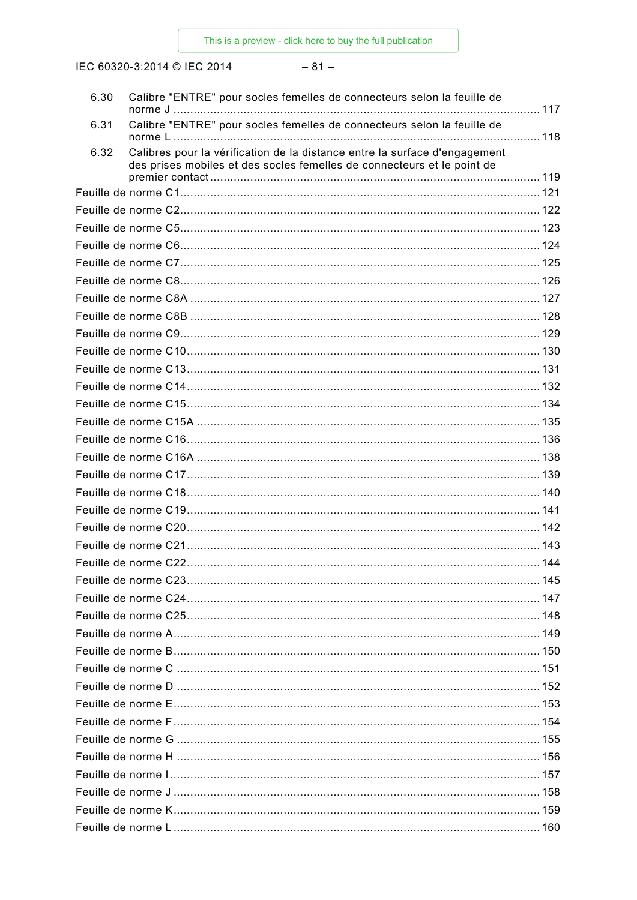IEC 60320-3:2014 © IEC 2014

| ×<br>۰. |  |
|---------|--|
|---------|--|

| 6.30 | Calibre "ENTRE" pour socles femelles de connecteurs selon la feuille de                                                                               |  |
|------|-------------------------------------------------------------------------------------------------------------------------------------------------------|--|
| 6.31 | Calibre "ENTRE" pour socles femelles de connecteurs selon la feuille de                                                                               |  |
| 6.32 | Calibres pour la vérification de la distance entre la surface d'engagement<br>des prises mobiles et des socles femelles de connecteurs et le point de |  |
|      |                                                                                                                                                       |  |
|      |                                                                                                                                                       |  |
|      |                                                                                                                                                       |  |
|      |                                                                                                                                                       |  |
|      |                                                                                                                                                       |  |
|      |                                                                                                                                                       |  |
|      |                                                                                                                                                       |  |
|      |                                                                                                                                                       |  |
|      |                                                                                                                                                       |  |
|      |                                                                                                                                                       |  |
|      |                                                                                                                                                       |  |
|      |                                                                                                                                                       |  |
|      |                                                                                                                                                       |  |
|      |                                                                                                                                                       |  |
|      |                                                                                                                                                       |  |
|      |                                                                                                                                                       |  |
|      |                                                                                                                                                       |  |
|      |                                                                                                                                                       |  |
|      |                                                                                                                                                       |  |
|      |                                                                                                                                                       |  |
|      |                                                                                                                                                       |  |
|      |                                                                                                                                                       |  |
|      |                                                                                                                                                       |  |
|      |                                                                                                                                                       |  |
|      |                                                                                                                                                       |  |
|      |                                                                                                                                                       |  |
|      |                                                                                                                                                       |  |
|      |                                                                                                                                                       |  |
|      |                                                                                                                                                       |  |
|      |                                                                                                                                                       |  |
|      |                                                                                                                                                       |  |
|      |                                                                                                                                                       |  |
|      |                                                                                                                                                       |  |
|      |                                                                                                                                                       |  |
|      |                                                                                                                                                       |  |
|      |                                                                                                                                                       |  |
|      |                                                                                                                                                       |  |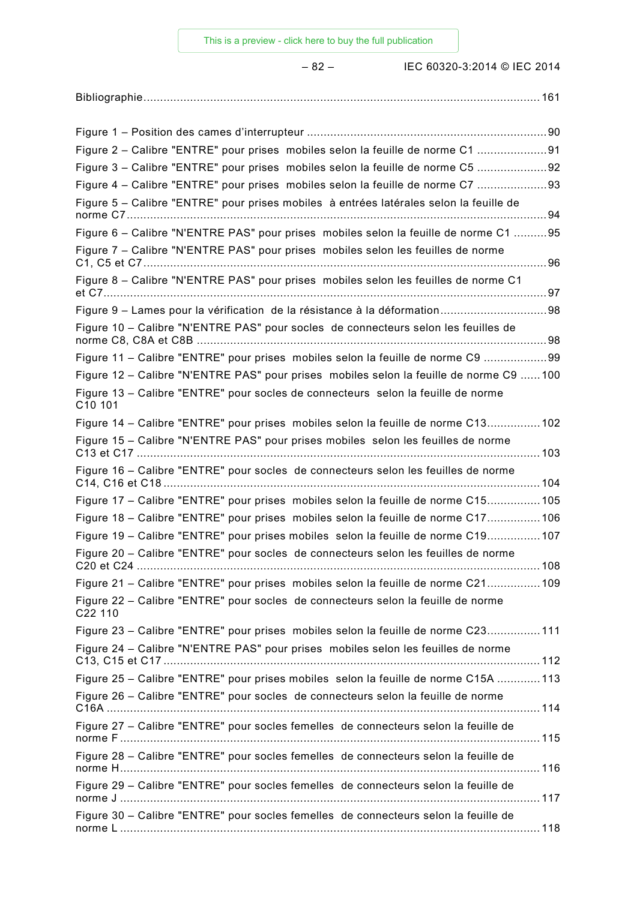Bibliographie....................................................................................................................... 161

| Figure 2 - Calibre "ENTRE" pour prises mobiles selon la feuille de norme C1 91              |
|---------------------------------------------------------------------------------------------|
| Figure 3 - Calibre "ENTRE" pour prises mobiles selon la feuille de norme C5 92              |
| Figure 4 - Calibre "ENTRE" pour prises mobiles selon la feuille de norme C7 93              |
| Figure 5 - Calibre "ENTRE" pour prises mobiles à entrées latérales selon la feuille de      |
| Figure 6 - Calibre "N'ENTRE PAS" pour prises mobiles selon la feuille de norme C1 95        |
| Figure 7 - Calibre "N'ENTRE PAS" pour prises mobiles selon les feuilles de norme            |
| Figure 8 - Calibre "N'ENTRE PAS" pour prises mobiles selon les feuilles de norme C1         |
| Figure 9 - Lames pour la vérification de la résistance à la déformation98                   |
| Figure 10 - Calibre "N'ENTRE PAS" pour socles de connecteurs selon les feuilles de          |
| Figure 11 - Calibre "ENTRE" pour prises mobiles selon la feuille de norme C9 99             |
| Figure 12 - Calibre "N'ENTRE PAS" pour prises mobiles selon la feuille de norme C9 100      |
| Figure 13 - Calibre "ENTRE" pour socles de connecteurs selon la feuille de norme<br>C10 101 |
| Figure 14 - Calibre "ENTRE" pour prises mobiles selon la feuille de norme C13102            |
| Figure 15 - Calibre "N'ENTRE PAS" pour prises mobiles selon les feuilles de norme           |
| Figure 16 - Calibre "ENTRE" pour socles de connecteurs selon les feuilles de norme          |
| Figure 17 - Calibre "ENTRE" pour prises mobiles selon la feuille de norme C15 105           |
| Figure 18 - Calibre "ENTRE" pour prises mobiles selon la feuille de norme C17106            |
| Figure 19 - Calibre "ENTRE" pour prises mobiles selon la feuille de norme C19107            |
| Figure 20 - Calibre "ENTRE" pour socles de connecteurs selon les feuilles de norme          |
| Figure 21 - Calibre "ENTRE" pour prises mobiles selon la feuille de norme C21 109           |
| Figure 22 - Calibre "ENTRE" pour socles de connecteurs selon la feuille de norme<br>C22 110 |
| Figure 23 - Calibre "ENTRE" pour prises mobiles selon la feuille de norme C23111            |
| Figure 24 - Calibre "N'ENTRE PAS" pour prises mobiles selon les feuilles de norme           |
| Figure 25 – Calibre "ENTRE" pour prises mobiles selon la feuille de norme C15A 113          |
| Figure 26 - Calibre "ENTRE" pour socles de connecteurs selon la feuille de norme            |
| Figure 27 - Calibre "ENTRE" pour socles femelles de connecteurs selon la feuille de         |
| Figure 28 - Calibre "ENTRE" pour socles femelles de connecteurs selon la feuille de         |
| Figure 29 - Calibre "ENTRE" pour socles femelles de connecteurs selon la feuille de         |
| Figure 30 - Calibre "ENTRE" pour socles femelles de connecteurs selon la feuille de         |
|                                                                                             |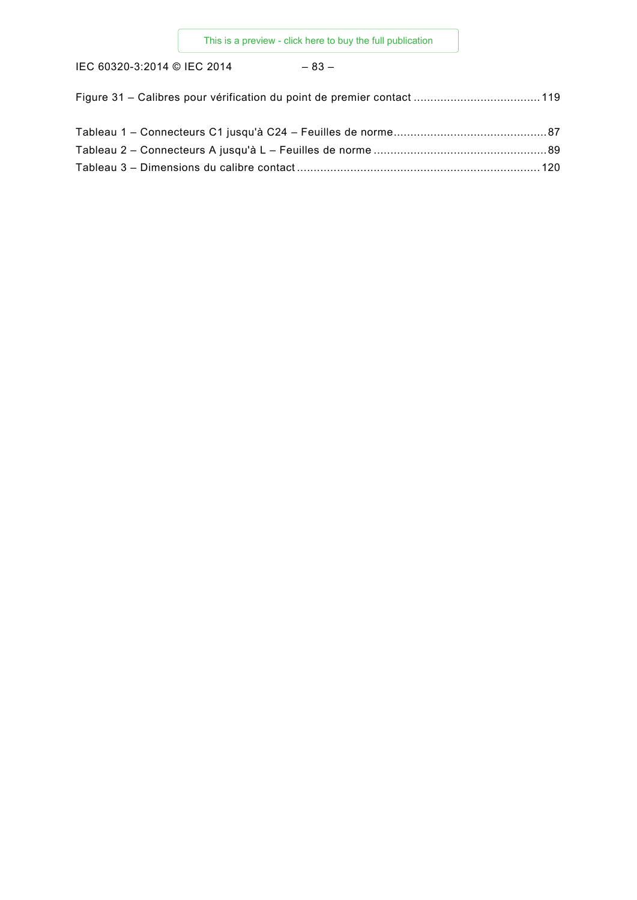IEC 60320-3:2014 © IEC 2014 – 83 –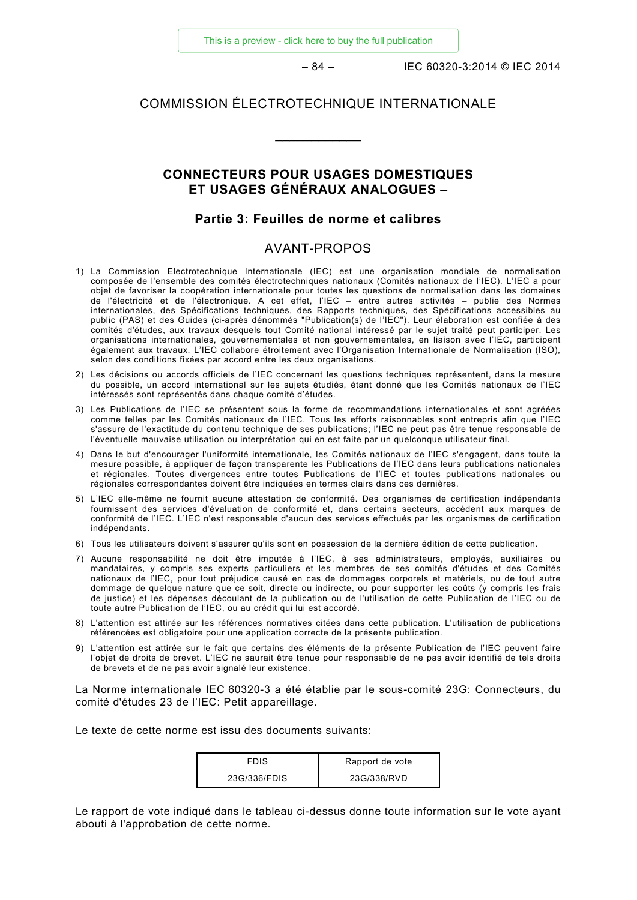[This is a preview - click here to buy the full publication](https://webstore.iec.ch/publication/1461&preview=1)

– 84 – IEC 60320-3:2014 © IEC 2014

# COMMISSION ÉLECTROTECHNIQUE INTERNATIONALE

 $\overline{\phantom{a}}$ 

# **CONNECTEURS POUR USAGES DOMESTIQUES ET USAGES GÉNÉRAUX ANALOGUES –**

# **Partie 3: Feuilles de norme et calibres**

### AVANT-PROPOS

- <span id="page-11-0"></span>1) La Commission Electrotechnique Internationale (IEC) est une organisation mondiale de normalisation composée de l'ensemble des comités électrotechniques nationaux (Comités nationaux de l'IEC). L'IEC a pour objet de favoriser la coopération internationale pour toutes les questions de normalisation dans les domaines de l'électricité et de l'électronique. A cet effet, l'IEC – entre autres activités – publie des Normes internationales, des Spécifications techniques, des Rapports techniques, des Spécifications accessibles au public (PAS) et des Guides (ci-après dénommés "Publication(s) de l'IEC"). Leur élaboration est confiée à des comités d'études, aux travaux desquels tout Comité national intéressé par le sujet traité peut participer. Les organisations internationales, gouvernementales et non gouvernementales, en liaison avec l'IEC, participent également aux travaux. L'IEC collabore étroitement avec l'Organisation Internationale de Normalisation (ISO), selon des conditions fixées par accord entre les deux organisations.
- 2) Les décisions ou accords officiels de l'IEC concernant les questions techniques représentent, dans la mesure du possible, un accord international sur les sujets étudiés, étant donné que les Comités nationaux de l'IEC intéressés sont représentés dans chaque comité d'études.
- 3) Les Publications de l'IEC se présentent sous la forme de recommandations internationales et sont agréées comme telles par les Comités nationaux de l'IEC. Tous les efforts raisonnables sont entrepris afin que l'IEC s'assure de l'exactitude du contenu technique de ses publications; l'IEC ne peut pas être tenue responsable de l'éventuelle mauvaise utilisation ou interprétation qui en est faite par un quelconque utilisateur final.
- 4) Dans le but d'encourager l'uniformité internationale, les Comités nationaux de l'IEC s'engagent, dans toute la mesure possible, à appliquer de façon transparente les Publications de l'IEC dans leurs publications nationales et régionales. Toutes divergences entre toutes Publications de l'IEC et toutes publications nationales ou régionales correspondantes doivent être indiquées en termes clairs dans ces dernières.
- 5) L'IEC elle-même ne fournit aucune attestation de conformité. Des organismes de certification indépendants fournissent des services d'évaluation de conformité et, dans certains secteurs, accèdent aux marques de conformité de l'IEC. L'IEC n'est responsable d'aucun des services effectués par les organismes de certification indépendants.
- 6) Tous les utilisateurs doivent s'assurer qu'ils sont en possession de la dernière édition de cette publication.
- 7) Aucune responsabilité ne doit être imputée à l'IEC, à ses administrateurs, employés, auxiliaires ou mandataires, y compris ses experts particuliers et les membres de ses comités d'études et des Comités nationaux de l'IEC, pour tout préjudice causé en cas de dommages corporels et matériels, ou de tout autre dommage de quelque nature que ce soit, directe ou indirecte, ou pour supporter les coûts (y compris les frais de justice) et les dépenses découlant de la publication ou de l'utilisation de cette Publication de l'IEC ou de toute autre Publication de l'IEC, ou au crédit qui lui est accordé.
- 8) L'attention est attirée sur les références normatives citées dans cette publication. L'utilisation de publications référencées est obligatoire pour une application correcte de la présente publication.
- 9) L'attention est attirée sur le fait que certains des éléments de la présente Publication de l'IEC peuvent faire l'objet de droits de brevet. L'IEC ne saurait être tenue pour responsable de ne pas avoir identifié de tels droits de brevets et de ne pas avoir signalé leur existence.

La Norme internationale IEC 60320-3 a été établie par le sous-comité 23G: Connecteurs, du comité d'études 23 de l'IEC: Petit appareillage.

Le texte de cette norme est issu des documents suivants:

| <b>FDIS</b>  | Rapport de vote |
|--------------|-----------------|
| 23G/336/FDIS | 23G/338/RVD     |

Le rapport de vote indiqué dans le tableau ci-dessus donne toute information sur le vote ayant abouti à l'approbation de cette norme.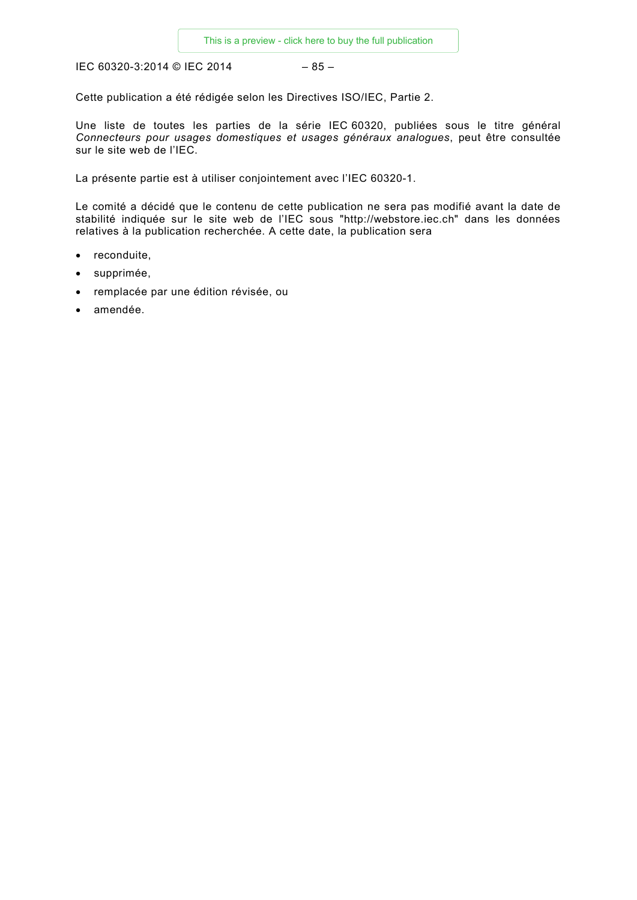IEC 60320-3:2014 © IEC 2014 – 85 –

Cette publication a été rédigée selon les Directives ISO/IEC, Partie 2.

Une liste de toutes les parties de la série IEC 60320, publiées sous le titre général *Connecteurs pour usages domestiques et usages généraux analogues*, peut être consultée sur le site web de l'IEC.

La présente partie est à utiliser conjointement avec l'IEC 60320-1.

Le comité a décidé que le contenu de cette publication ne sera pas modifié avant la date de stabilité indiquée sur le site web de l'IEC sous "http://webstore.iec.ch" dans les données relatives à la publication recherchée. A cette date, la publication sera

- reconduite,
- supprimée,
- remplacée par une édition révisée, ou
- amendée.